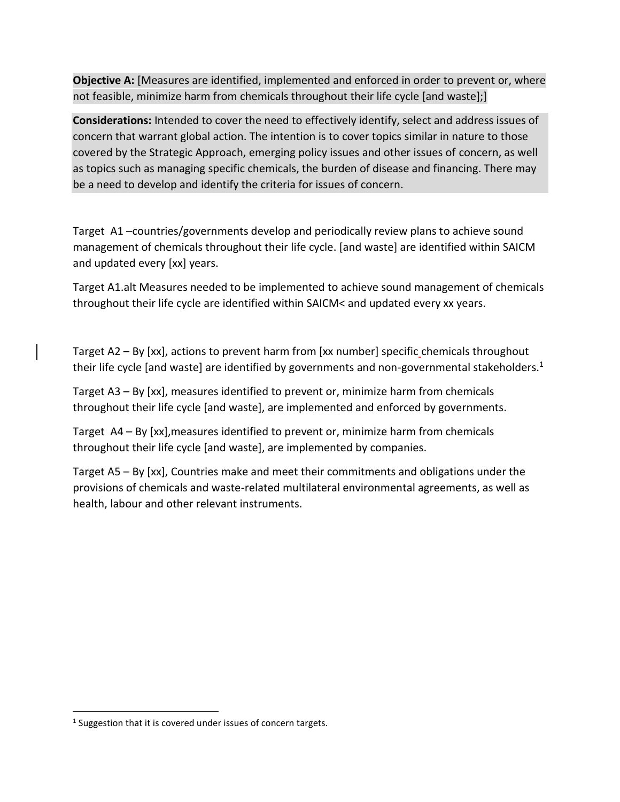**Objective A:** [Measures are identified, implemented and enforced in order to prevent or, where not feasible, minimize harm from chemicals throughout their life cycle [and waste];]

**Considerations:** Intended to cover the need to effectively identify, select and address issues of concern that warrant global action. The intention is to cover topics similar in nature to those covered by the Strategic Approach, emerging policy issues and other issues of concern, as well as topics such as managing specific chemicals, the burden of disease and financing. There may be a need to develop and identify the criteria for issues of concern.

Target A1 –countries/governments develop and periodically review plans to achieve sound management of chemicals throughout their life cycle. [and waste] are identified within SAICM and updated every [xx] years.

Target A1.alt Measures needed to be implemented to achieve sound management of chemicals throughout their life cycle are identified within SAICM< and updated every xx years.

Target A2 – By [xx], actions to prevent harm from [xx number] specific chemicals throughout their life cycle [and waste] are identified by governments and non-governmental stakeholders.<sup>1</sup>

Target A3 – By [xx], measures identified to prevent or, minimize harm from chemicals throughout their life cycle [and waste], are implemented and enforced by governments.

Target A4 – By [xx],measures identified to prevent or, minimize harm from chemicals throughout their life cycle [and waste], are implemented by companies.

Target A5 – By [xx], Countries make and meet their commitments and obligations under the provisions of chemicals and waste-related multilateral environmental agreements, as well as health, labour and other relevant instruments.

 $1$  Suggestion that it is covered under issues of concern targets.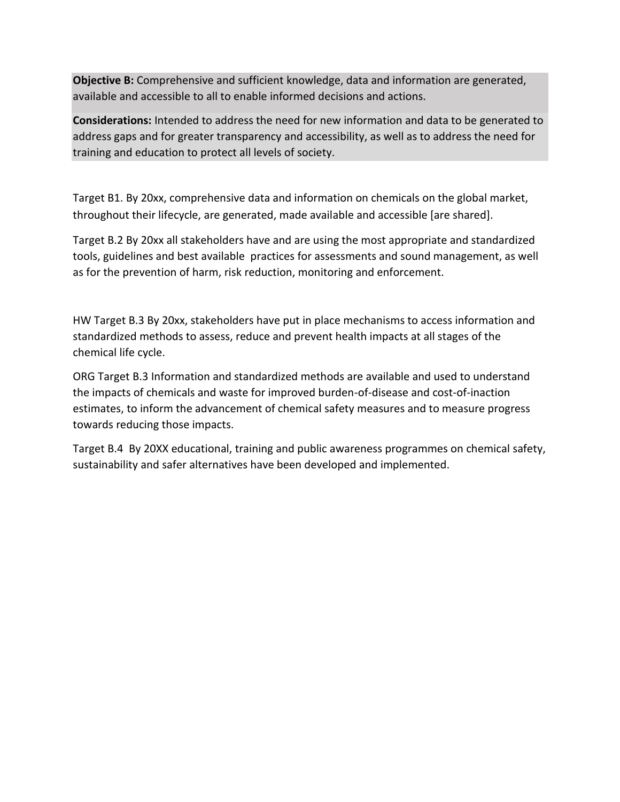**Objective B:** Comprehensive and sufficient knowledge, data and information are generated, available and accessible to all to enable informed decisions and actions.

**Considerations:** Intended to address the need for new information and data to be generated to address gaps and for greater transparency and accessibility, as well as to address the need for training and education to protect all levels of society.

Target B1. By 20xx, comprehensive data and information on chemicals on the global market, throughout their lifecycle, are generated, made available and accessible [are shared].

Target B.2 By 20xx all stakeholders have and are using the most appropriate and standardized tools, guidelines and best available practices for assessments and sound management, as well as for the prevention of harm, risk reduction, monitoring and enforcement.

HW Target B.3 By 20xx, stakeholders have put in place mechanisms to access information and standardized methods to assess, reduce and prevent health impacts at all stages of the chemical life cycle.

ORG Target B.3 Information and standardized methods are available and used to understand the impacts of chemicals and waste for improved burden-of-disease and cost-of-inaction estimates, to inform the advancement of chemical safety measures and to measure progress towards reducing those impacts.

Target B.4 By 20XX educational, training and public awareness programmes on chemical safety, sustainability and safer alternatives have been developed and implemented.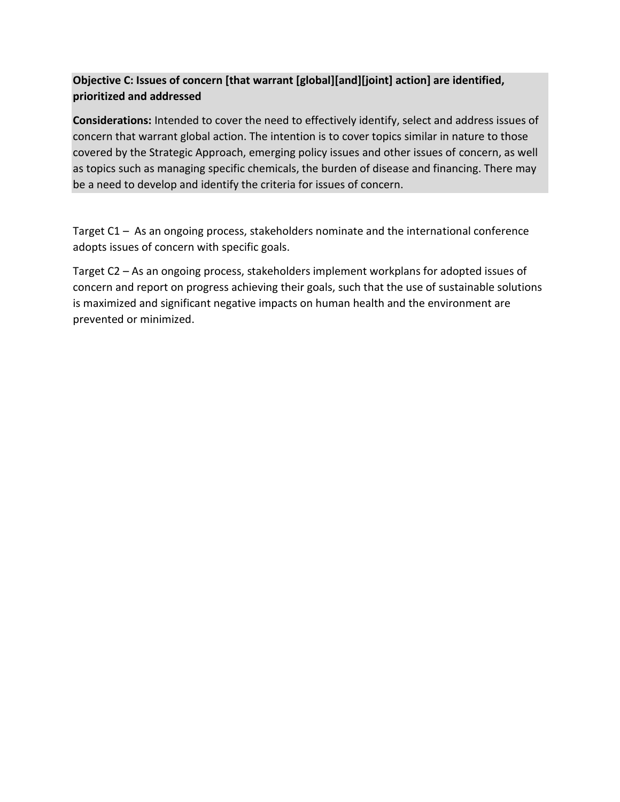## **Objective C: Issues of concern [that warrant [global][and][joint] action] are identified, prioritized and addressed**

**Considerations:** Intended to cover the need to effectively identify, select and address issues of concern that warrant global action. The intention is to cover topics similar in nature to those covered by the Strategic Approach, emerging policy issues and other issues of concern, as well as topics such as managing specific chemicals, the burden of disease and financing. There may be a need to develop and identify the criteria for issues of concern.

Target C1 – As an ongoing process, stakeholders nominate and the international conference adopts issues of concern with specific goals.

Target C2 – As an ongoing process, stakeholders implement workplans for adopted issues of concern and report on progress achieving their goals, such that the use of sustainable solutions is maximized and significant negative impacts on human health and the environment are prevented or minimized.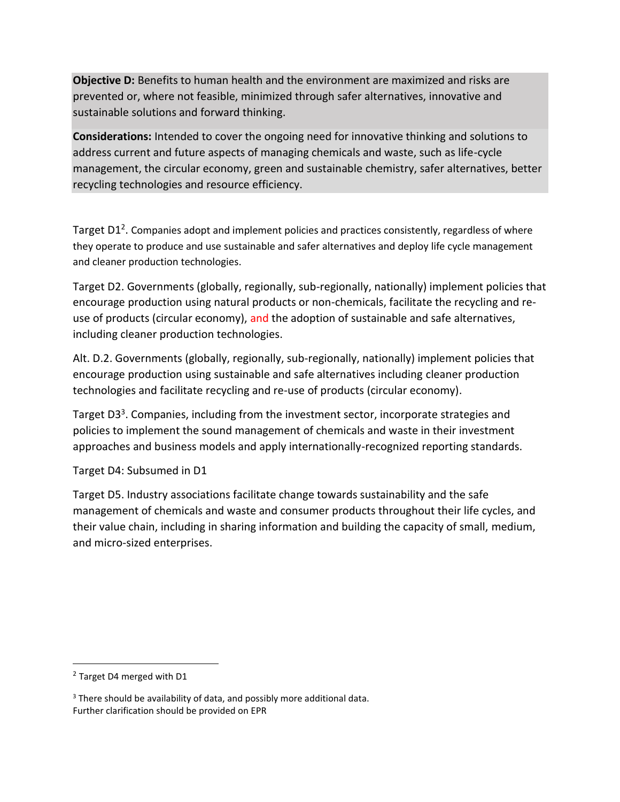**Objective D:** Benefits to human health and the environment are maximized and risks are prevented or, where not feasible, minimized through safer alternatives, innovative and sustainable solutions and forward thinking.

**Considerations:** Intended to cover the ongoing need for innovative thinking and solutions to address current and future aspects of managing chemicals and waste, such as life-cycle management, the circular economy, green and sustainable chemistry, safer alternatives, better recycling technologies and resource efficiency.

Target D1<sup>2</sup>. Companies adopt and implement policies and practices consistently, regardless of where they operate to produce and use sustainable and safer alternatives and deploy life cycle management and cleaner production technologies.

Target D2. Governments (globally, regionally, sub-regionally, nationally) implement policies that encourage production using natural products or non-chemicals, facilitate the recycling and reuse of products (circular economy), and the adoption of sustainable and safe alternatives, including cleaner production technologies.

Alt. D.2. Governments (globally, regionally, sub-regionally, nationally) implement policies that encourage production using sustainable and safe alternatives including cleaner production technologies and facilitate recycling and re-use of products (circular economy).

Target D3<sup>3</sup>. Companies, including from the investment sector, incorporate strategies and policies to implement the sound management of chemicals and waste in their investment approaches and business models and apply internationally-recognized reporting standards.

Target D4: Subsumed in D1

Target D5. Industry associations facilitate change towards sustainability and the safe management of chemicals and waste and consumer products throughout their life cycles, and their value chain, including in sharing information and building the capacity of small, medium, and micro-sized enterprises.

<sup>&</sup>lt;sup>2</sup> Target D4 merged with D1

<sup>&</sup>lt;sup>3</sup> There should be availability of data, and possibly more additional data. Further clarification should be provided on EPR